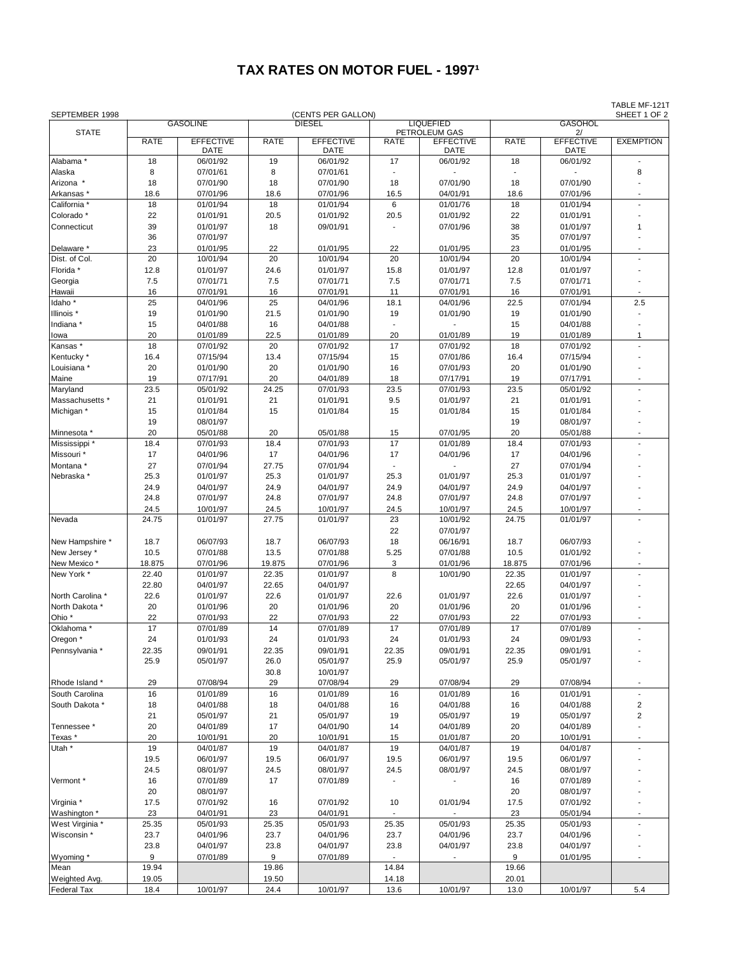## **TAX RATES ON MOTOR FUEL - 1997<sup>1</sup>**

| SEPTEMBER 1998        |                 |                  |               | (CENTS PER GALLON) |                  |                                   |             |                        | TABLE MF-121T<br>SHEET 1 OF 2 |
|-----------------------|-----------------|------------------|---------------|--------------------|------------------|-----------------------------------|-------------|------------------------|-------------------------------|
|                       | <b>GASOLINE</b> |                  | <b>DIESEL</b> |                    | <b>LIQUEFIED</b> |                                   |             |                        |                               |
| <b>STATE</b>          | <b>RATE</b>     | <b>EFFECTIVE</b> | <b>RATE</b>   | <b>EFFECTIVE</b>   | <b>RATE</b>      | PETROLEUM GAS<br><b>EFFECTIVE</b> | <b>RATE</b> | 2/<br><b>EFFECTIVE</b> | <b>EXEMPTION</b>              |
|                       |                 | DATE             |               | <b>DATE</b>        |                  | <b>DATE</b>                       |             | <b>DATE</b>            |                               |
| Alabama *             | 18              | 06/01/92         | 19            | 06/01/92           | 17               | 06/01/92                          | 18          | 06/01/92               |                               |
| Alaska                | 8               | 07/01/61         | 8             | 07/01/61           |                  |                                   |             |                        | 8                             |
| Arizona *             | 18              | 07/01/90         | 18            | 07/01/90           | 18               | 07/01/90                          | 18          | 07/01/90               |                               |
| Arkansas *            | 18.6            | 07/01/96         | 18.6          | 07/01/96           | 16.5             | 04/01/91                          | 18.6        | 07/01/96               |                               |
| California *          | 18              | 01/01/94         | 18            | 01/01/94           | 6                | 01/01/76                          | 18          | 01/01/94               | ÷.                            |
| Colorado *            | 22              | 01/01/91         | 20.5          | 01/01/92           | 20.5             | 01/01/92                          | 22          | 01/01/91               |                               |
| Connecticut           | 39              | 01/01/97         | 18            | 09/01/91           |                  | 07/01/96                          | 38          | 01/01/97               | 1                             |
|                       | 36              | 07/01/97         |               |                    |                  |                                   | 35          | 07/01/97               |                               |
| Delaware *            | 23              | 01/01/95         | 22            | 01/01/95           | 22               | 01/01/95                          | 23          | 01/01/95               |                               |
| Dist. of Col.         | 20              | 10/01/94         | 20            | 10/01/94           | 20               | 10/01/94                          | 20          | 10/01/94               | ٠                             |
| Florida *             | 12.8            | 01/01/97         | 24.6          | 01/01/97           | 15.8             | 01/01/97                          | 12.8        | 01/01/97               |                               |
| Georgia               | 7.5             | 07/01/71         | 7.5           | 07/01/71           | 7.5              | 07/01/71                          | 7.5         | 07/01/71               |                               |
| Hawaii                | 16              | 07/01/91         | 16            | 07/01/91           | 11               | 07/01/91                          | 16          | 07/01/91               |                               |
| ldaho <sup>*</sup>    | 25              | 04/01/96         | 25            | 04/01/96           | 18.1             | 04/01/96                          | 22.5        | 07/01/94               | 2.5                           |
| Illinois <sup>*</sup> | 19              | 01/01/90         | 21.5          | 01/01/90           | 19               | 01/01/90                          | 19          | 01/01/90               |                               |
| Indiana <sup>*</sup>  | 15              | 04/01/88         | 16            | 04/01/88           | $\overline{a}$   |                                   | 15          | 04/01/88               |                               |
| lowa                  | 20              | 01/01/89         | 22.5          | 01/01/89           | 20               | 01/01/89                          | 19          | 01/01/89               | $\mathbf{1}$                  |
| Kansas*               | 18              | 07/01/92         | 20            | 07/01/92           | 17               | 07/01/92                          | 18          | 07/01/92               |                               |
| Kentucky <sup>*</sup> | 16.4            | 07/15/94         | 13.4          | 07/15/94           | 15               | 07/01/86                          | 16.4        | 07/15/94               |                               |
| Louisiana *           | 20              | 01/01/90         | 20            | 01/01/90           | 16               | 07/01/93                          | 20          | 01/01/90               |                               |
| Maine                 | 19              | 07/17/91         | 20            | 04/01/89           | 18               | 07/17/91                          | 19          | 07/17/91               |                               |
| Maryland              | 23.5            | 05/01/92         | 24.25         | 07/01/93           | 23.5             | 07/01/93                          | 23.5        | 05/01/92               | ÷.                            |
| Massachusetts *       | 21              | 01/01/91         | 21            | 01/01/91           | 9.5              | 01/01/97                          | 21          | 01/01/91               |                               |
| Michigan *            | 15              | 01/01/84         | 15            | 01/01/84           | 15               | 01/01/84                          | 15          | 01/01/84               |                               |
|                       | 19              | 08/01/97         |               |                    |                  |                                   | 19          | 08/01/97               |                               |
| Minnesota *           | 20              | 05/01/88         | 20            | 05/01/88           | 15               | 07/01/95                          | 20          | 05/01/88               | ٠                             |
| Mississippi *         | 18.4            | 07/01/93         | 18.4          | 07/01/93           | 17               | 01/01/89                          | 18.4        | 07/01/93               |                               |
| Missouri <sup>*</sup> | 17              | 04/01/96         | 17            | 04/01/96           | 17               | 04/01/96                          | 17          | 04/01/96               |                               |
| Montana *             | 27              | 07/01/94         | 27.75         | 07/01/94           |                  |                                   | 27          | 07/01/94               |                               |
| Nebraska*             | 25.3            | 01/01/97         | 25.3          | 01/01/97           | 25.3             | 01/01/97                          | 25.3        | 01/01/97               |                               |
|                       | 24.9            | 04/01/97         | 24.9          | 04/01/97           | 24.9             | 04/01/97                          | 24.9        | 04/01/97               |                               |
|                       | 24.8            | 07/01/97         | 24.8          | 07/01/97           | 24.8             | 07/01/97                          | 24.8        | 07/01/97               | ÷.                            |
|                       | 24.5            | 10/01/97         | 24.5          | 10/01/97           | 24.5             | 10/01/97                          | 24.5        | 10/01/97               | $\overline{a}$                |
| Nevada                | 24.75           | 01/01/97         | 27.75         | 01/01/97           | 23<br>22         | 10/01/92<br>07/01/97              | 24.75       | 01/01/97               |                               |
| New Hampshire *       | 18.7            | 06/07/93         | 18.7          | 06/07/93           | 18               | 06/16/91                          | 18.7        | 06/07/93               |                               |
| New Jersey *          | 10.5            | 07/01/88         | 13.5          | 07/01/88           | 5.25             | 07/01/88                          | 10.5        | 01/01/92               |                               |
| New Mexico*           | 18.875          | 07/01/96         | 19.875        | 07/01/96           | 3                | 01/01/96                          | 18.875      | 07/01/96               |                               |
| New York *            | 22.40           | 01/01/97         | 22.35         | 01/01/97           | 8                | 10/01/90                          | 22.35       | 01/01/97               |                               |
|                       | 22.80           | 04/01/97         | 22.65         | 04/01/97           |                  |                                   | 22.65       | 04/01/97               |                               |
| North Carolina *      | 22.6            | 01/01/97         | 22.6          | 01/01/97           | 22.6             | 01/01/97                          | 22.6        | 01/01/97               |                               |
| North Dakota *        | 20              | 01/01/96         | 20            | 01/01/96           | 20               | 01/01/96                          | 20          | 01/01/96               |                               |
| Ohio <sup>*</sup>     | 22              | 07/01/93         | 22            | 07/01/93           | 22               | 07/01/93                          | 22          | 07/01/93               |                               |
| Oklahoma*             | 17              | 07/01/89         | 14            | 07/01/89           | 17               | 07/01/89                          | 17          | 07/01/89               |                               |
| Oregon *              | 24              | 01/01/93         | 24            | 01/01/93           | 24               | 01/01/93                          | 24          | 09/01/93               |                               |
| Pennsylvania *        | 22.35           | 09/01/91         | 22.35         | 09/01/91           | 22.35            | 09/01/91                          | 22.35       | 09/01/91               |                               |
|                       | 25.9            | 05/01/97         | 26.0          | 05/01/97           | 25.9             | 05/01/97                          | 25.9        | 05/01/97               |                               |
|                       |                 |                  | 30.8          | 10/01/97           |                  |                                   |             |                        |                               |
| Rhode Island *        | 29              | 07/08/94         | 29            | 07/08/94           | 29               | 07/08/94                          | 29          | 07/08/94               |                               |
| South Carolina        | 16              | 01/01/89         | 16            | 01/01/89           | 16               | 01/01/89                          | 16          | 01/01/91               |                               |
| South Dakota *        | 18              | 04/01/88         | 18            | 04/01/88           | 16               | 04/01/88                          | 16          | 04/01/88               | $\overline{2}$                |
|                       | 21              | 05/01/97         | 21            | 05/01/97           | 19               | 05/01/97                          | 19          | 05/01/97               | $\overline{2}$                |
| Tennessee*            | 20              | 04/01/89         | 17            | 04/01/90           | 14               | 04/01/89                          | 20          | 04/01/89               |                               |
| Texas *               | 20              | 10/01/91         | 20            | 10/01/91           | 15               | 01/01/87                          | 20          | 10/01/91               |                               |
| Utah *                | 19              | 04/01/87         | 19            | 04/01/87           | 19               | 04/01/87                          | 19          | 04/01/87               |                               |
|                       | 19.5            | 06/01/97         | 19.5          | 06/01/97           | 19.5             | 06/01/97                          | 19.5        | 06/01/97               |                               |
|                       | 24.5            | 08/01/97         | 24.5          | 08/01/97           | 24.5             | 08/01/97                          | 24.5        | 08/01/97               |                               |
| Vermont*              | 16              | 07/01/89         | 17            | 07/01/89           |                  |                                   | 16          | 07/01/89               |                               |
|                       | 20              | 08/01/97         |               |                    |                  |                                   | 20          | 08/01/97               |                               |
| Virginia *            | 17.5            | 07/01/92         | 16            | 07/01/92           | 10               | 01/01/94                          | 17.5        | 07/01/92               |                               |
| Washington *          | 23              | 04/01/91         | 23            | 04/01/91           |                  |                                   | 23          | 05/01/94               |                               |
| West Virginia *       | 25.35           | 05/01/93         | 25.35         | 05/01/93           | 25.35            | 05/01/93                          | 25.35       | 05/01/93               |                               |
| Wisconsin *           | 23.7            | 04/01/96         | 23.7          | 04/01/96           | 23.7             | 04/01/96                          | 23.7        | 04/01/96               |                               |
|                       | 23.8            | 04/01/97         | 23.8          | 04/01/97           | 23.8             | 04/01/97                          | 23.8        | 04/01/97               |                               |
| Wyoming *             | 9               | 07/01/89         | 9             | 07/01/89           |                  |                                   | 9           | 01/01/95               |                               |
| Mean                  | 19.94           |                  | 19.86         |                    | 14.84            |                                   | 19.66       |                        |                               |
| Weighted Avg.         | 19.05           |                  | 19.50         |                    | 14.18            |                                   | 20.01       |                        |                               |
| Federal Tax           | 18.4            | 10/01/97         | 24.4          | 10/01/97           | 13.6             | 10/01/97                          | 13.0        | 10/01/97               | 5.4                           |